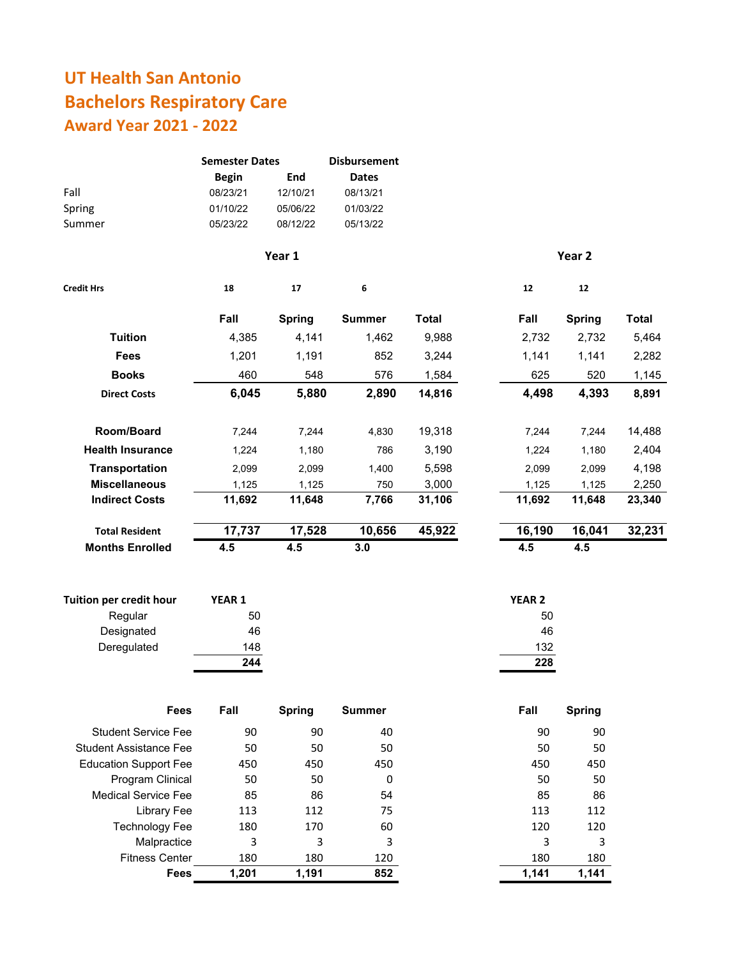## **UT Health San Antonio Bachelors Respiratory Care Award Year 2021 ‐ 2022**

| Fall<br>Spring<br>Summer      | <b>Semester Dates</b><br><b>Begin</b><br>08/23/21<br>01/10/22<br>05/23/22 | End<br>12/10/21<br>05/06/22<br>08/12/22 | <b>Disbursement</b><br><b>Dates</b><br>08/13/21<br>01/03/22<br>05/13/22 |              |                   |               |              |
|-------------------------------|---------------------------------------------------------------------------|-----------------------------------------|-------------------------------------------------------------------------|--------------|-------------------|---------------|--------------|
|                               |                                                                           | Year 1                                  |                                                                         |              |                   | Year 2        |              |
| <b>Credit Hrs</b>             | 18                                                                        | 17                                      | 6                                                                       |              | 12                | 12            |              |
|                               | Fall                                                                      | <b>Spring</b>                           | <b>Summer</b>                                                           | <b>Total</b> | Fall              | <b>Spring</b> | <b>Total</b> |
| <b>Tuition</b>                | 4,385                                                                     | 4,141                                   | 1,462                                                                   | 9,988        | 2,732             | 2,732         | 5,464        |
| <b>Fees</b>                   | 1,201                                                                     | 1,191                                   | 852                                                                     | 3,244        | 1,141             | 1,141         | 2,282        |
| <b>Books</b>                  | 460                                                                       | 548                                     | 576                                                                     | 1,584        | 625               | 520           | 1,145        |
| <b>Direct Costs</b>           | 6,045                                                                     | 5,880                                   | 2,890                                                                   | 14,816       | 4,498             | 4,393         | 8,891        |
| Room/Board                    | 7,244                                                                     | 7,244                                   | 4,830                                                                   | 19,318       | 7,244             | 7,244         | 14,488       |
| <b>Health Insurance</b>       | 1,224                                                                     | 1,180                                   | 786                                                                     | 3,190        | 1,224             | 1,180         | 2,404        |
| <b>Transportation</b>         | 2,099                                                                     | 2,099                                   | 1,400                                                                   | 5,598        | 2,099             | 2,099         | 4,198        |
| <b>Miscellaneous</b>          | 1,125                                                                     | 1,125                                   | 750                                                                     | 3,000        | 1,125             | 1,125         | 2,250        |
| <b>Indirect Costs</b>         | 11,692                                                                    | 11,648                                  | 7,766                                                                   | 31,106       | 11,692            | 11,648        | 23,340       |
| <b>Total Resident</b>         | 17,737                                                                    | 17,528                                  | 10,656                                                                  | 45,922       | 16,190            | 16,041        | 32,231       |
| <b>Months Enrolled</b>        | 4.5                                                                       | 4.5                                     | 3.0                                                                     |              | 4.5               | 4.5           |              |
| Tuition per credit hour       | YEAR 1                                                                    |                                         |                                                                         |              | YEAR <sub>2</sub> |               |              |
| Regular                       | 50                                                                        |                                         |                                                                         |              | 50                |               |              |
| Designated                    | 46                                                                        |                                         |                                                                         |              | 46                |               |              |
| Deregulated                   | 148                                                                       |                                         |                                                                         |              | 132               |               |              |
|                               | 244                                                                       |                                         |                                                                         |              | 228               |               |              |
| Fees                          | Fall                                                                      | <b>Spring</b>                           | <b>Summer</b>                                                           |              | Fall              | <b>Spring</b> |              |
| <b>Student Service Fee</b>    | 90                                                                        | 90                                      | 40                                                                      |              | 90                | 90            |              |
| <b>Student Assistance Fee</b> | 50                                                                        | 50                                      | 50                                                                      |              | 50                | 50            |              |
| <b>Education Support Fee</b>  | 450                                                                       | 450                                     | 450                                                                     |              | 450               | 450           |              |
| Program Clinical              | 50                                                                        | 50                                      | 0                                                                       |              | 50                | 50            |              |
| <b>Medical Service Fee</b>    | 85                                                                        | 86                                      | 54                                                                      |              | 85                | 86            |              |
| <b>Library Fee</b>            | 113                                                                       | 112                                     | 75                                                                      |              | 113               | 112           |              |
| <b>Technology Fee</b>         | 180                                                                       | 170                                     | 60                                                                      |              | 120               | 120           |              |
| Malpractice                   | 3                                                                         | 3                                       | 3                                                                       |              | 3                 | 3             |              |
| <b>Fitness Center</b>         | 180                                                                       | 180                                     | 120                                                                     |              | 180               | 180           |              |
| Fees                          | 1,201                                                                     | 1,191                                   | 852                                                                     |              | 1,141             | 1,141         |              |